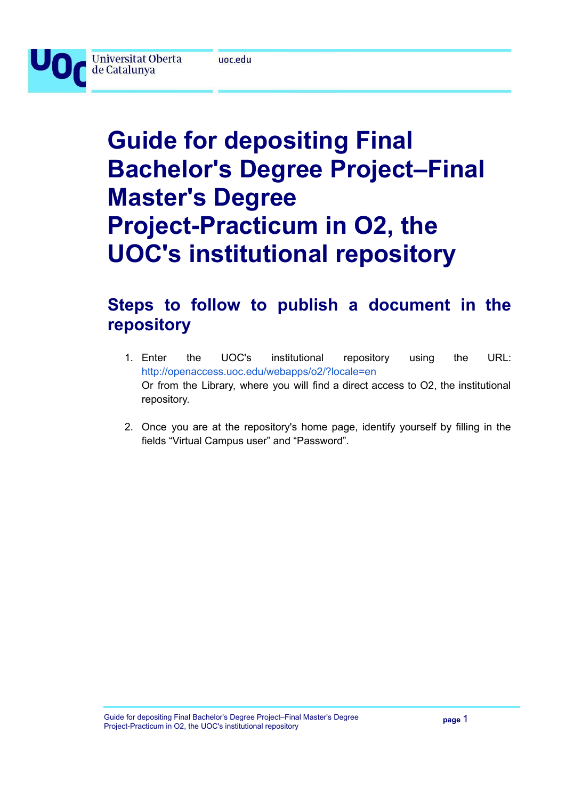

**Universitat Oberta** 

de Catalunya

# **Guide for depositing Final Bachelor's Degree Project–Final Master's Degree Project-Practicum in O2, the UOC's institutional repository**

## **Steps to follow to publish a document in the repository**

- 1. Enter the UOC's institutional repository using the URL: [http://openaccess.uoc.edu/webapps/o2/?locale=en](http://openaccess.uoc.edu/webapps/o2/) Or from the Library, where you will find a direct access to O2, the institutional repository.
- 2. Once you are at the repository's home page, identify yourself by filling in the fields "Virtual Campus user" and "Password".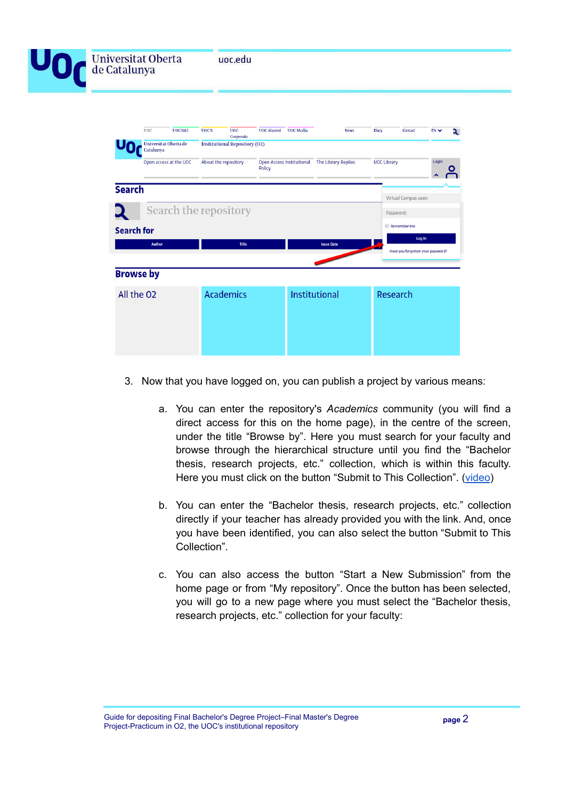| <b>Universitat Oberta</b><br>de Catalunya |            |                                    |             | uoc.edu                                           |                      |  |             |              |         |           |   |
|-------------------------------------------|------------|------------------------------------|-------------|---------------------------------------------------|----------------------|--|-------------|--------------|---------|-----------|---|
|                                           | <b>UOC</b> | <b>UOCR&amp;I</b>                  | <b>UOCX</b> | <b>UOC</b>                                        | UOC Alumni UOC Media |  | <b>News</b> | <b>Diary</b> | Contact | $EN \vee$ | ર |
|                                           |            | Universitat Oberta de<br>Catalunya |             | Corporate<br><b>Institutional Repository (O2)</b> |                      |  |             |              |         |           |   |
|                                           |            |                                    |             |                                                   |                      |  |             |              |         | Login     |   |

|                   |        |                       |                   | $\boldsymbol{\mathsf{A}}$         |
|-------------------|--------|-----------------------|-------------------|-----------------------------------|
| <b>Search</b>     |        |                       |                   |                                   |
|                   |        |                       |                   | <b>Virtual Campus user:</b>       |
|                   |        | Search the repository |                   | Password:                         |
| <b>Search for</b> |        |                       |                   | Remember me                       |
|                   | Author | <b>Title</b>          | <b>Issue Date</b> | Log In                            |
|                   |        |                       |                   | Have you forgotten your password? |
|                   |        |                       |                   |                                   |
| <b>Browse by</b>  |        |                       |                   |                                   |
| All the O2        |        | <b>Academics</b>      | Institutional     | Research                          |
|                   |        |                       |                   |                                   |
|                   |        |                       |                   |                                   |
|                   |        |                       |                   |                                   |
|                   |        |                       |                   |                                   |
|                   |        |                       |                   |                                   |

- 3. Now that you have logged on, you can publish a project by various means:
	- a. You can enter the repository's *Academics* community (you will find a direct access for this on the home page), in the centre of the screen, under the title "Browse by". Here you must search for your faculty and browse through the hierarchical structure until you find the "Bachelor thesis, research projects, etc." collection, which is within this faculty. Here you must click on the button "Submit to This Collection". [\(video](https://www.screencast.com/t/9dp5IB8DsX))
	- b. You can enter the "Bachelor thesis, research projects, etc." collection directly if your teacher has already provided you with the link. And, once you have been identified, you can also select the button "Submit to This Collection".
	- c. You can also access the button "Start a New Submission" from the home page or from "My repository". Once the button has been selected, you will go to a new page where you must select the "Bachelor thesis, research projects, etc." collection for your faculty: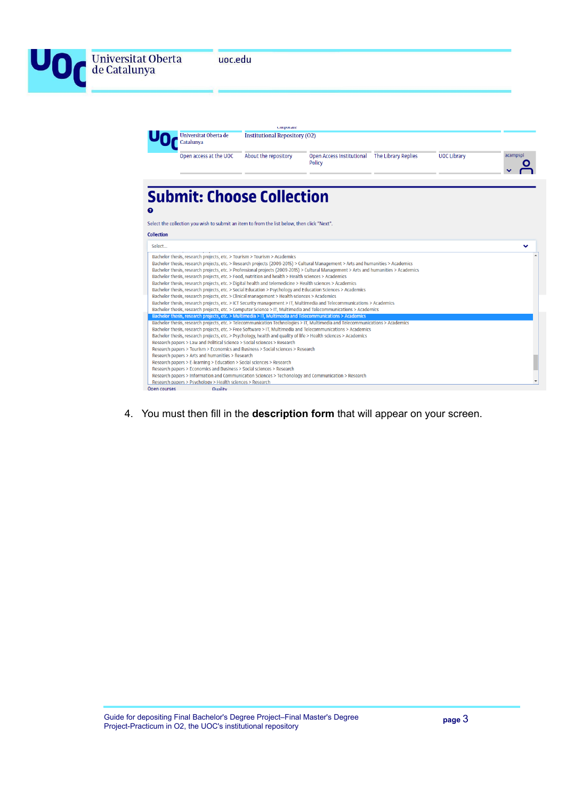| Universitat Oberta<br>de Catalunya | uoc.edu                                                                                                                                                                                                                                                                                                                                                                                     |                                                                           |                                                                                                                                                                                                                                                                                                                                                                                                                                                                                                                                                                                                                                                                                                                                                                                                                                                                                                                                                                                                    |  |                    |          |  |  |
|------------------------------------|---------------------------------------------------------------------------------------------------------------------------------------------------------------------------------------------------------------------------------------------------------------------------------------------------------------------------------------------------------------------------------------------|---------------------------------------------------------------------------|----------------------------------------------------------------------------------------------------------------------------------------------------------------------------------------------------------------------------------------------------------------------------------------------------------------------------------------------------------------------------------------------------------------------------------------------------------------------------------------------------------------------------------------------------------------------------------------------------------------------------------------------------------------------------------------------------------------------------------------------------------------------------------------------------------------------------------------------------------------------------------------------------------------------------------------------------------------------------------------------------|--|--------------------|----------|--|--|
|                                    | Universitat Oberta de<br>Catalunya<br>Open access at the UOC                                                                                                                                                                                                                                                                                                                                | corporate<br><b>Institutional Repository (O2)</b><br>About the repository | Open Access Institutional The Library Replies<br><b>Policy</b>                                                                                                                                                                                                                                                                                                                                                                                                                                                                                                                                                                                                                                                                                                                                                                                                                                                                                                                                     |  | <b>UOC Library</b> | acampspi |  |  |
| ℯ                                  | <b>Submit: Choose Collection</b><br>Select the collection you wish to submit an item to from the list below, then click "Next".                                                                                                                                                                                                                                                             |                                                                           |                                                                                                                                                                                                                                                                                                                                                                                                                                                                                                                                                                                                                                                                                                                                                                                                                                                                                                                                                                                                    |  |                    |          |  |  |
| <b>Collection</b>                  |                                                                                                                                                                                                                                                                                                                                                                                             |                                                                           |                                                                                                                                                                                                                                                                                                                                                                                                                                                                                                                                                                                                                                                                                                                                                                                                                                                                                                                                                                                                    |  |                    |          |  |  |
| Select                             |                                                                                                                                                                                                                                                                                                                                                                                             |                                                                           |                                                                                                                                                                                                                                                                                                                                                                                                                                                                                                                                                                                                                                                                                                                                                                                                                                                                                                                                                                                                    |  |                    |          |  |  |
|                                    | Bachelor thesis, research projects, etc. > Tourism > Tourism > Academics<br>Bachelor thesis, research projects, etc. > Food, nutrition and health > Health sciences > Academics<br>Bachelor thesis, research projects, etc. > Digital health and telemedicine > Health sciences > Academics<br>Bachelor thesis, research projects, etc. > Clinical management > Health sciences > Academics |                                                                           | Bachelor thesis, research projects, etc. > Research projects (2009-2015) > Cultural Management > Arts and humanities > Academics<br>Bachelor thesis, research projects, etc. > Professional projects (2009-2015) > Cultural Management > Arts and humanities > Academics<br>Bachelor thesis, research projects, etc. > Social Education > Psychology and Education Sciences > Academics<br>Bachelor thesis, research projects, etc. > ICT Security management > IT, Multimedia and Telecommunications > Academics<br>Bachelor thesis, research projects, etc. > Computer Science > IT, Multimedia and Telecommunications > Academics<br>Bachelor thesis, research projects, etc. > Multimedia > IT, Multimedia and Telecommunications > Academics<br>Bachelor thesis, research projects, etc. > Telecommunication Technologies > IT, Multimedia and Telecommunications > Academics<br>Bachelor thesis, research projects, etc. > Free Software > IT, Multimedia and Telecommunications > Academics |  |                    |          |  |  |
|                                    | Research papers > Law and Political Science > Social sciences > Research                                                                                                                                                                                                                                                                                                                    |                                                                           | Bachelor thesis, research projects, etc. > Psychology, health and quality of life > Health sciences > Academics                                                                                                                                                                                                                                                                                                                                                                                                                                                                                                                                                                                                                                                                                                                                                                                                                                                                                    |  |                    |          |  |  |
|                                    | Research papers > Tourism > Economics and Business > Social sciences > Research<br>Research papers > Arts and humanities > Research                                                                                                                                                                                                                                                         |                                                                           |                                                                                                                                                                                                                                                                                                                                                                                                                                                                                                                                                                                                                                                                                                                                                                                                                                                                                                                                                                                                    |  |                    |          |  |  |
|                                    | Research papers > E-learning > Education > Social sciences > Research<br>Research papers > Economics and Business > Social sciences > Research                                                                                                                                                                                                                                              |                                                                           |                                                                                                                                                                                                                                                                                                                                                                                                                                                                                                                                                                                                                                                                                                                                                                                                                                                                                                                                                                                                    |  |                    |          |  |  |

4. You must then fill in the **description form** that will appear on your screen.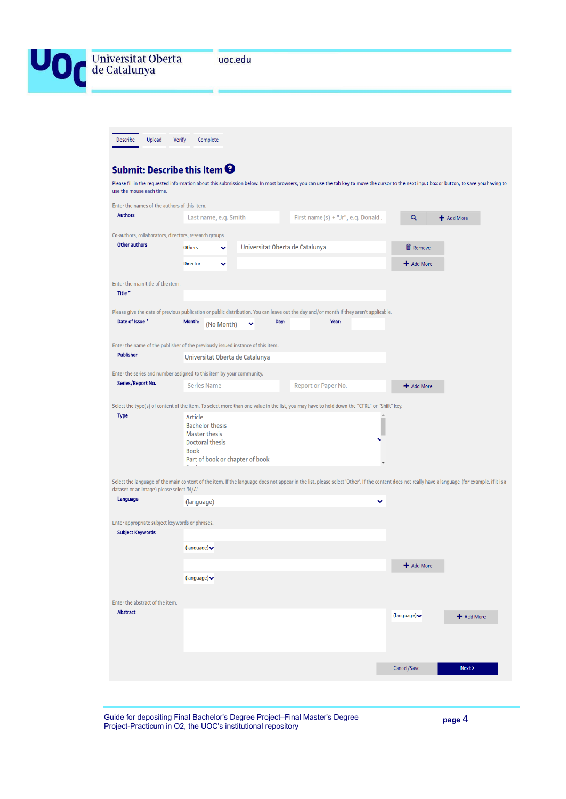

| <b>Describe</b><br>Upload                                                       | <b>Verify</b><br>Complete                                                                          |            |                                 |      |                                                                                                                                                                                                  |   |                                  |            |
|---------------------------------------------------------------------------------|----------------------------------------------------------------------------------------------------|------------|---------------------------------|------|--------------------------------------------------------------------------------------------------------------------------------------------------------------------------------------------------|---|----------------------------------|------------|
| Submit: Describe this Item $\boldsymbol{\Theta}$                                |                                                                                                    |            |                                 |      |                                                                                                                                                                                                  |   |                                  |            |
| use the mouse each time.                                                        |                                                                                                    |            |                                 |      | Please fill in the requested information about this submission below. In most browsers, you can use the tab key to move the cursor to the next input box or button, to save you having to        |   |                                  |            |
| Enter the names of the authors of this item.                                    |                                                                                                    |            |                                 |      |                                                                                                                                                                                                  |   |                                  |            |
| <b>Authors</b>                                                                  | Last name, e.g. Smith                                                                              |            |                                 |      | First name(s) + "Jr", e.g. Donald.                                                                                                                                                               |   | Q                                | + Add More |
| Co-authors, collaborators, directors, research groups                           |                                                                                                    |            |                                 |      |                                                                                                                                                                                                  |   |                                  |            |
| Other authors                                                                   | <b>Others</b>                                                                                      | v          |                                 |      | Universitat Oberta de Catalunya                                                                                                                                                                  |   | <b>血</b> Remove                  |            |
|                                                                                 | <b>Director</b>                                                                                    | v          |                                 |      |                                                                                                                                                                                                  |   | + Add More                       |            |
| Enter the main title of the item.<br>Title <sup>*</sup>                         |                                                                                                    |            |                                 |      |                                                                                                                                                                                                  |   |                                  |            |
|                                                                                 |                                                                                                    |            |                                 |      | Please give the date of previous publication or public distribution. You can leave out the day and/or month if they aren't applicable.                                                           |   |                                  |            |
| Date of Issue *                                                                 | Month:                                                                                             | (No Month) | ▽                               | Day: | Year:                                                                                                                                                                                            |   |                                  |            |
| Enter the name of the publisher of the previously issued instance of this item. |                                                                                                    |            |                                 |      |                                                                                                                                                                                                  |   |                                  |            |
| <b>Publisher</b>                                                                |                                                                                                    |            | Universitat Oberta de Catalunya |      |                                                                                                                                                                                                  |   |                                  |            |
| Enter the series and number assigned to this item by your community.            |                                                                                                    |            |                                 |      |                                                                                                                                                                                                  |   |                                  |            |
| Series/Report No.                                                               | <b>Series Name</b>                                                                                 |            |                                 |      | Report or Paper No.                                                                                                                                                                              |   | + Add More                       |            |
|                                                                                 |                                                                                                    |            |                                 |      | Select the type(s) of content of the item. To select more than one value in the list, you may have to hold down the "CTRL" or "Shift" key.                                                       |   |                                  |            |
| <b>Type</b>                                                                     | Article<br><b>Bachelor thesis</b><br><b>Master thesis</b><br><b>Doctoral thesis</b><br><b>Book</b> |            | Part of book or chapter of book |      |                                                                                                                                                                                                  |   |                                  |            |
| dataset or an image) please select 'N/A'.                                       |                                                                                                    |            |                                 |      | Select the language of the main content of the item. If the language does not appear in the list, please select 'Other'. If the content does not really have a language (for example, if it is a |   |                                  |            |
| Language                                                                        | (language)                                                                                         |            |                                 |      |                                                                                                                                                                                                  | v |                                  |            |
| Enter appropriate subject keywords or phrases.<br><b>Subject Keywords</b>       |                                                                                                    |            |                                 |      |                                                                                                                                                                                                  |   |                                  |            |
|                                                                                 | (language) $\blacktriangleright$                                                                   |            |                                 |      |                                                                                                                                                                                                  |   |                                  |            |
|                                                                                 |                                                                                                    |            |                                 |      |                                                                                                                                                                                                  |   | + Add More                       |            |
|                                                                                 | (language) $\blacktriangleright$                                                                   |            |                                 |      |                                                                                                                                                                                                  |   |                                  |            |
| Enter the abstract of the item.                                                 |                                                                                                    |            |                                 |      |                                                                                                                                                                                                  |   |                                  |            |
| <b>Abstract</b>                                                                 |                                                                                                    |            |                                 |      |                                                                                                                                                                                                  |   | (language) $\blacktriangleright$ | + Add More |
|                                                                                 |                                                                                                    |            |                                 |      |                                                                                                                                                                                                  |   |                                  |            |
|                                                                                 |                                                                                                    |            |                                 |      |                                                                                                                                                                                                  |   |                                  |            |
|                                                                                 |                                                                                                    |            |                                 |      |                                                                                                                                                                                                  |   | Cancel/Save                      | Next       |

Guide for depositing Final Bachelor's Degree Project-Final Master's Degree Project-Practicum in O2, the UOC's institutional repository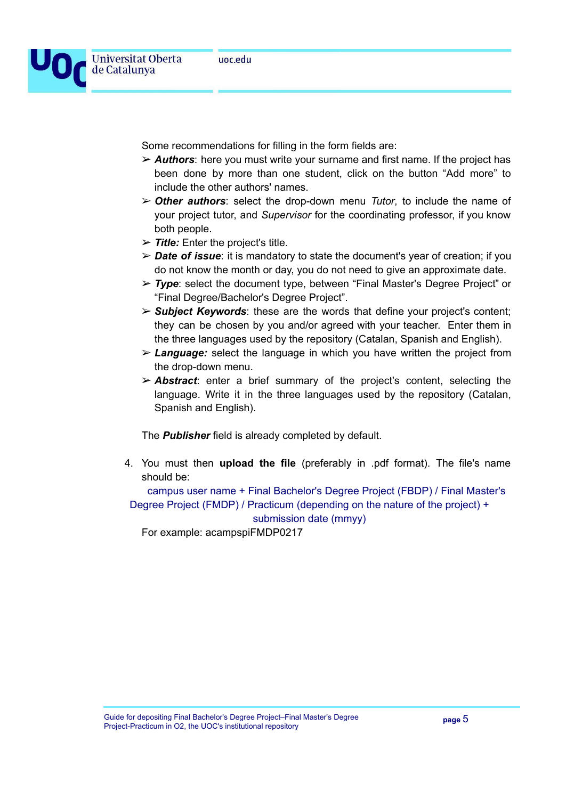

Some recommendations for filling in the form fields are:

- ➢ *Authors*: here you must write your surname and first name. If the project has been done by more than one student, click on the button "Add more" to include the other authors' names.
- ➢ *Other authors*: select the drop-down menu *Tutor*, to include the name of your project tutor, and *Supervisor* for the coordinating professor, if you know both people.
- ➢ *Title:* Enter the project's title.
- ➢ *Date of issue*: it is mandatory to state the document's year of creation; if you do not know the month or day, you do not need to give an approximate date.
- ➢ *Type*: select the document type, between "Final Master's Degree Project" or "Final Degree/Bachelor's Degree Project".
- ➢ *Subject Keywords*: these are the words that define your project's content; they can be chosen by you and/or agreed with your teacher. Enter them in the three languages used by the repository (Catalan, Spanish and English).
- ➢ *Language:* select the language in which you have written the project from the drop-down menu.
- ➢ *Abstract*: enter a brief summary of the project's content, selecting the language. Write it in the three languages used by the repository (Catalan, Spanish and English).

The *Publisher* field is already completed by default.

4. You must then **upload the file** (preferably in .pdf format). The file's name should be:

campus user name + Final Bachelor's Degree Project (FBDP) / Final Master's Degree Project (FMDP) / Practicum (depending on the nature of the project) + submission date (mmyy)

For example: acampspiFMDP0217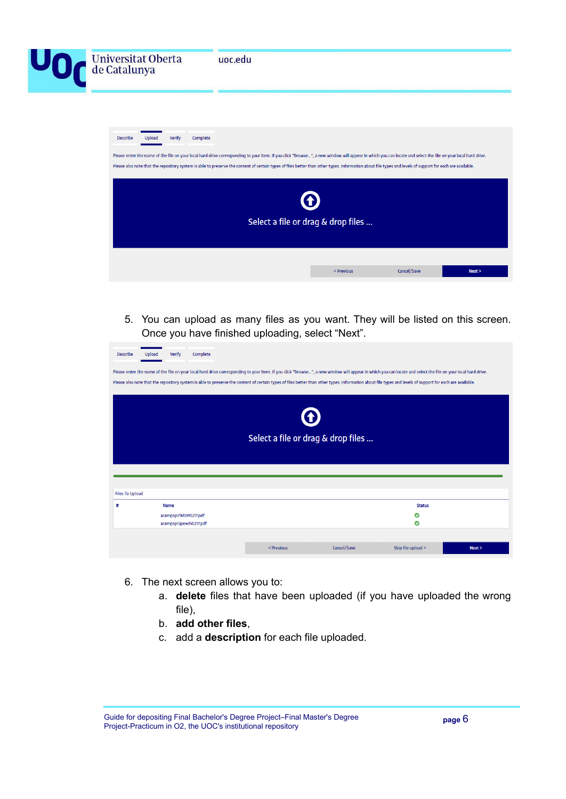| Universitat Oberta<br>de Catalunya |        |        |          | uoc.edu                                                                                                                                                                                                                                                                                                                                                                                                                    |                                    |             |      |
|------------------------------------|--------|--------|----------|----------------------------------------------------------------------------------------------------------------------------------------------------------------------------------------------------------------------------------------------------------------------------------------------------------------------------------------------------------------------------------------------------------------------------|------------------------------------|-------------|------|
| <b>Describe</b>                    | Upload | Verify | Complete | Please enter the name of the file on your local hard drive corresponding to your item. If you click "Browse ", a new window will appear in which you can locate and select the file on your local hard drive.<br>Please also note that the repository system is able to preserve the content of certain types of files better than other types. Information about file types and levels of support for each are available. |                                    |             |      |
|                                    |        |        |          |                                                                                                                                                                                                                                                                                                                                                                                                                            | Select a file or drag & drop files |             |      |
|                                    |        |        |          |                                                                                                                                                                                                                                                                                                                                                                                                                            | < Previous                         | Cancel/Save | Next |

5. You can upload as many files as you want. They will be listed on this screen. Once you have finished uploading, select "Next".

| <b>Describe</b>        | Verify<br>Upload                                                                                                                                                                                              | Complete               |            |             |                    |      |  |  |  |  |  |
|------------------------|---------------------------------------------------------------------------------------------------------------------------------------------------------------------------------------------------------------|------------------------|------------|-------------|--------------------|------|--|--|--|--|--|
|                        | Please enter the name of the file on your local hard drive corresponding to your item. If you click "Browse ", a new window will appear in which you can locate and select the file on your local hard drive. |                        |            |             |                    |      |  |  |  |  |  |
|                        | Please also note that the repository system is able to preserve the content of certain types of files better than other types. Information about file types and levels of support for each are available.     |                        |            |             |                    |      |  |  |  |  |  |
|                        |                                                                                                                                                                                                               |                        |            |             |                    |      |  |  |  |  |  |
|                        | $\bullet$                                                                                                                                                                                                     |                        |            |             |                    |      |  |  |  |  |  |
|                        | Select a file or drag & drop files                                                                                                                                                                            |                        |            |             |                    |      |  |  |  |  |  |
|                        |                                                                                                                                                                                                               |                        |            |             |                    |      |  |  |  |  |  |
|                        |                                                                                                                                                                                                               |                        |            |             |                    |      |  |  |  |  |  |
| <b>Files To Upload</b> |                                                                                                                                                                                                               |                        |            |             |                    |      |  |  |  |  |  |
| #                      | <b>Name</b>                                                                                                                                                                                                   |                        |            |             | <b>Status</b>      |      |  |  |  |  |  |
|                        | acampspiFMDP0217.pdf                                                                                                                                                                                          | acampspiSpeech0217.pdf |            |             | O<br>Θ             |      |  |  |  |  |  |
|                        |                                                                                                                                                                                                               |                        |            |             |                    |      |  |  |  |  |  |
|                        |                                                                                                                                                                                                               |                        | < Previous | Cancel/Save | Skip file upload > | Next |  |  |  |  |  |

- 6. The next screen allows you to:
	- a. **delete** files that have been uploaded (if you have uploaded the wrong file),
	- b. **add other files**,
	- c. add a **description** for each file uploaded.

Guide for depositing Final Bachelor's Degree Project–Final Master's Degree Project-Practicum in O2, the UOC's institutional repository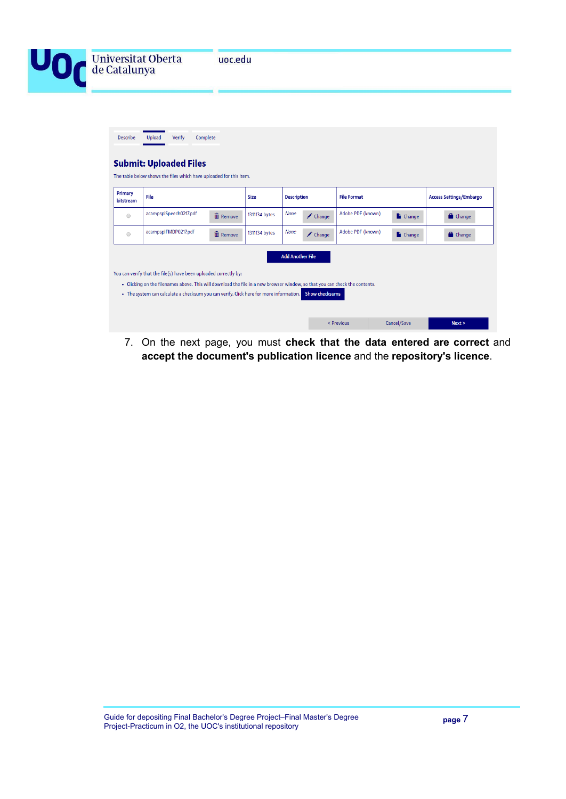

| Primary<br>bitstream | File                                                             |                 | <b>Description</b><br><b>Size</b> |                         | <b>File Format</b> |                   |               | <b>Access Settings/Embargo</b> |
|----------------------|------------------------------------------------------------------|-----------------|-----------------------------------|-------------------------|--------------------|-------------------|---------------|--------------------------------|
| $\bigcirc$           | acampspiSpeech0217.pdf                                           | <b>m</b> Remove | 1311134 bytes                     | <b>None</b>             | $\triangle$ Change | Adobe PDF (known) | <b>Change</b> | <b>Change</b>                  |
| $\circ$              | acampspiFMDP0217.pdf                                             | m Remove        | 1311134 bytes                     | <b>None</b>             | $\triangle$ Change | Adobe PDF (known) | <b>Change</b> | <b>Change</b>                  |
|                      | You can verify that the file(s) have been uploaded correctly by: |                 |                                   | <b>Add Another File</b> |                    |                   |               |                                |

7. On the next page, you must **check that the data entered are correct** and **accept the document's publication licence** and the **repository's licence**.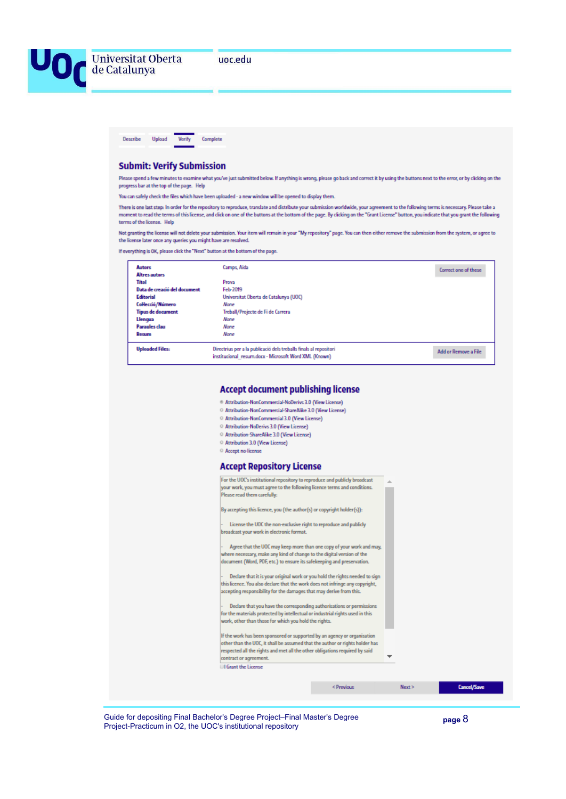



#### **Submit: Verify Submission**

Please spend a few minutes to examine what you've just submitted below. If anything is wrong, please go back and correct it by using the buttons next to the error, or by clicking on the progress bar at the top of the page. Help

You can safely check the files which have been uploaded - a new window will be opened to display them.

There is one last step: In order for the repository to reproduce, translate and distribute your submission worldwide, your agreement to the following terms is necessary. Please take a moment to read the terms of this license, and click on one of the buttons at the bottom of the page. By clicking on the "Grant License" button, you indicate that you grant the following terms of the license. Help

Not granting the license will not delete your submission. Your item will remain in your "My repository" page. You can then either remove the submission from the system, or agree to the license later once any queries you might have are resolved.

If everything is OK, please click the "Next" button at the bottom of the page.

| <b>Autors</b>                | Camps, Aida                                                                                                                | Correct one of these |
|------------------------------|----------------------------------------------------------------------------------------------------------------------------|----------------------|
| <b>Altres autors</b>         |                                                                                                                            |                      |
| <b>Titol</b>                 | Prova                                                                                                                      |                      |
| Data de creació del document | Feb-2019                                                                                                                   |                      |
| <b>Editorial</b>             | Universitat Oberta de Catalunya (UOC)                                                                                      |                      |
| CoHecció/Número              | None                                                                                                                       |                      |
| <b>Tipus de document</b>     | Treball/Projecte de Fi de Carrera                                                                                          |                      |
| Llengua                      | None                                                                                                                       |                      |
| <b>Paraules clau</b>         | None                                                                                                                       |                      |
| Resum                        | Nane                                                                                                                       |                      |
| <b>Uploaded Files:</b>       | Directrius per a la publicació dels treballs finals al repositori<br>institucional resum.docx - Microsoft Word XML (Known) | Add or Remove a File |

#### **Accept document publishing license**

- \* Attribution-NonCommercial-NoDerivs 3.0 (View License)
- Attribution-NonCommercial-ShareAlike 3.0 (View License)
- © Attribution-NonCommercial 3.0 (View License)
- Attribution-NoDerivs 3.0 (View License)
- C Attribution-ShareAlike 3.0 (View License)
- <sup>2</sup> Attribution 3.0 (View License)
- Accept no-license

#### Accont Donository Liconso

| Accept Repositor y Electise                                                   |            |        |                    |
|-------------------------------------------------------------------------------|------------|--------|--------------------|
| For the UOC's institutional repository to reproduce and publicly broadcast    |            |        |                    |
| your work, you must agree to the following licence terms and conditions.      |            |        |                    |
| Please read them carefully:                                                   |            |        |                    |
| By accepting this licence, you (the author(s) or copyright holder(s)):        |            |        |                    |
| License the UOC the non-exclusive right to reproduce and publicly             |            |        |                    |
| broadcast your work in electronic format.                                     |            |        |                    |
| Agree that the UOC may keep more than one copy of your work and may,          |            |        |                    |
| where necessary, make any kind of change to the digital version of the        |            |        |                    |
| document (Word, PDF, etc.) to ensure its safekeeping and preservation.        |            |        |                    |
| Declare that it is your original work or you hold the rights needed to sign   |            |        |                    |
| this licence. You also declare that the work does not infringe any copyright, |            |        |                    |
| accepting responsibility for the damages that may derive from this.           |            |        |                    |
|                                                                               |            |        |                    |
| Declare that you have the corresponding authorisations or permissions         |            |        |                    |
| for the materials protected by intellectual or industrial rights used in this |            |        |                    |
| work, other than those for which you hold the rights.                         |            |        |                    |
| If the work has been sponsored or supported by an agency or organisation      |            |        |                    |
| other than the UOC, it shall be assumed that the author or rights holder has  |            |        |                    |
| respected all the rights and met all the other obligations required by said   |            |        |                    |
| contract or agreement.                                                        |            |        |                    |
| <b>El Grant the License</b>                                                   |            |        |                    |
|                                                                               |            |        |                    |
|                                                                               | < Previous | Next > | <b>Cancel/Save</b> |

Guide for depositing Final Bachelor's Degree Project-Final Master's Degree Project-Practicum in O2, the UOC's institutional repository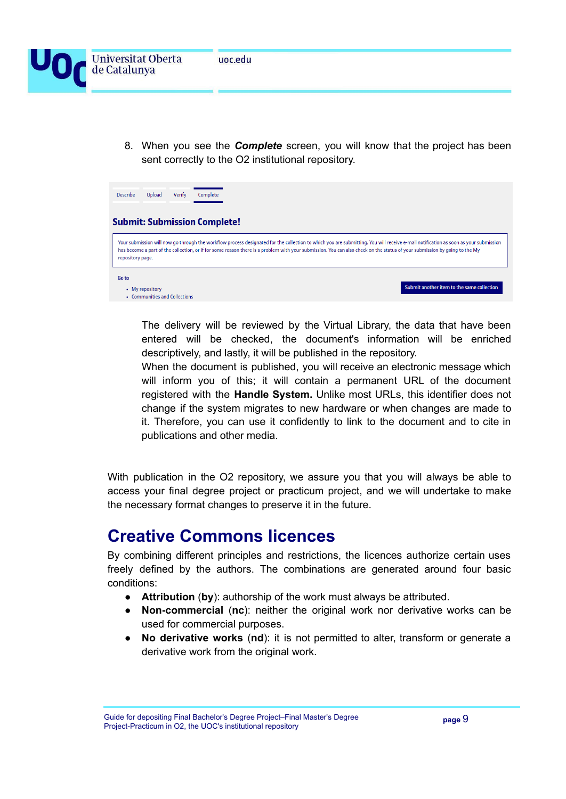

8. When you see the *Complete* screen, you will know that the project has been sent correctly to the O2 institutional repository.

| <b>Describe</b>  | Upload                                           | Verify | Complete                            |                                                                                                                                                                            |  |  |                                                                                                                                                                                     |  |
|------------------|--------------------------------------------------|--------|-------------------------------------|----------------------------------------------------------------------------------------------------------------------------------------------------------------------------|--|--|-------------------------------------------------------------------------------------------------------------------------------------------------------------------------------------|--|
|                  |                                                  |        | <b>Submit: Submission Complete!</b> |                                                                                                                                                                            |  |  |                                                                                                                                                                                     |  |
| repository page. |                                                  |        |                                     | has become a part of the collection, or if for some reason there is a problem with your submission. You can also check on the status of your submission by going to the My |  |  | Your submission will now go through the workflow process designated for the collection to which you are submitting. You will receive e-mail notification as soon as your submission |  |
| Go to            | • My repository<br>• Communities and Collections |        |                                     |                                                                                                                                                                            |  |  | Submit another item to the same collection                                                                                                                                          |  |

The delivery will be reviewed by the Virtual Library, the data that have been entered will be checked, the document's information will be enriched descriptively, and lastly, it will be published in the repository.

When the document is published, you will receive an electronic message which will inform you of this; it will contain a permanent URL of the document registered with the **Handle System.** Unlike most URLs, this identifier does not change if the system migrates to new hardware or when changes are made to it. Therefore, you can use it confidently to link to the document and to cite in publications and other media.

With publication in the O2 repository, we assure you that you will always be able to access your final degree project or practicum project, and we will undertake to make the necessary format changes to preserve it in the future.

### **Creative Commons licences**

By combining different principles and restrictions, the licences authorize certain uses freely defined by the authors. The combinations are generated around four basic conditions:

- **Attribution** (**by**): authorship of the work must always be attributed.
- **Non-commercial** (**nc**): neither the original work nor derivative works can be used for commercial purposes.
- **No derivative works** (**nd**): it is not permitted to alter, transform or generate a derivative work from the original work.

Guide for depositing Final Bachelor's Degree Project–Final Master's Degree Project-Practicum in O2, the UOC's institutional repository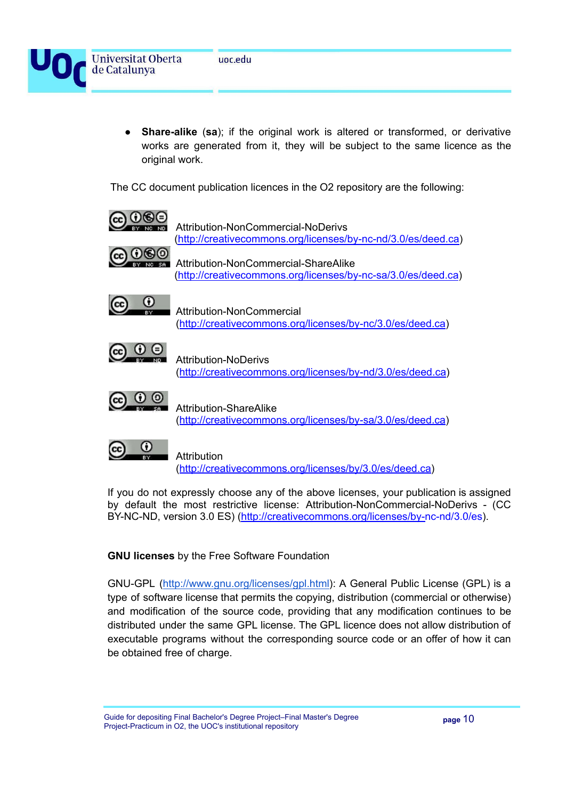**Universitat Oberta** 

de Catalunya



**Share-alike** (sa); if the original work is altered or transformed, or derivative works are generated from it, they will be subject to the same licence as the original work.

The CC document publication licences in the O2 repository are the following:



If you do not expressly choose any of the above licenses, your publication is assigned by default the most restrictive license: Attribution-NonCommercial-NoDerivs - (CC BY-NC-ND, version 3.0 ES) ([http://creativecommons.org/licenses/by-nc-nd/3.0/es](http://creativecommons.org/licenses/by-nc-nd/3.0/es/deed.ca)).

**GNU licenses** by the Free Software Foundation

GNU-GPL ([http://www.gnu.org/licenses/gpl.html\)](http://www.gnu.org/licenses/gpl.html): A General Public License (GPL) is a type of software license that permits the copying, distribution (commercial or otherwise) and modification of the source code, providing that any modification continues to be distributed under the same GPL license. The GPL licence does not allow distribution of executable programs without the corresponding source code or an offer of how it can be obtained free of charge.

Guide for depositing Final Bachelor's Degree Project–Final Master's Degree Project-Practicum in O2, the UOC's institutional repository